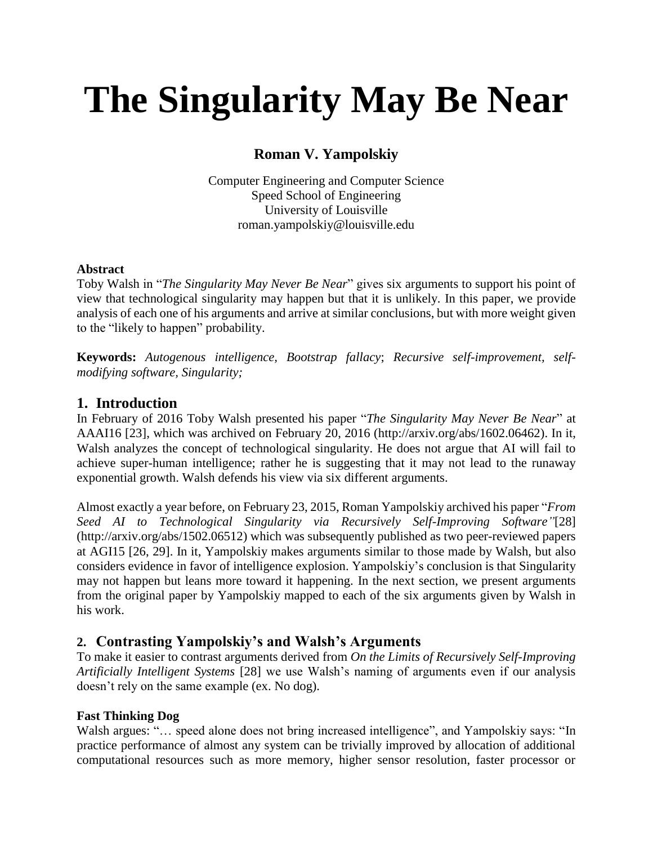# **The Singularity May Be Near**

## **Roman V. Yampolskiy**

Computer Engineering and Computer Science Speed School of Engineering University of Louisville [roman.yampolskiy@louisville.edu](mailto:roman.yampolskiy@louisville.edu)

## **Abstract**

Toby Walsh in "*The Singularity May Never Be Near*" gives six arguments to support his point of view that technological singularity may happen but that it is unlikely. In this paper, we provide analysis of each one of his arguments and arrive at similar conclusions, but with more weight given to the "likely to happen" probability.

**Keywords:** *Autogenous intelligence, Bootstrap fallacy*; *Recursive self-improvement, selfmodifying software, Singularity;*

## **1. Introduction**

In February of 2016 Toby Walsh presented his paper "*The Singularity May Never Be Near*" at AAAI16 [23], which was archived on February 20, 2016 [\(http://arxiv.org/abs/1602.06462\)](http://arxiv.org/abs/1602.06462). In it, Walsh analyzes the concept of technological singularity. He does not argue that AI will fail to achieve super-human intelligence; rather he is suggesting that it may not lead to the runaway exponential growth. Walsh defends his view via six different arguments.

Almost exactly a year before, on February 23, 2015, Roman Yampolskiy archived his paper "*From Seed AI to Technological Singularity via Recursively Self-Improving Software"*[28] [\(http://arxiv.org/abs/1502.06512\)](http://arxiv.org/abs/1502.06512) which was subsequently published as two peer-reviewed papers at AGI15 [26, 29]. In it, Yampolskiy makes arguments similar to those made by Walsh, but also considers evidence in favor of intelligence explosion. Yampolskiy's conclusion is that Singularity may not happen but leans more toward it happening. In the next section, we present arguments from the original paper by Yampolskiy mapped to each of the six arguments given by Walsh in his work.

## **2. Contrasting Yampolskiy's and Walsh's Arguments**

To make it easier to contrast arguments derived from *On the Limits of Recursively Self-Improving Artificially Intelligent Systems* [28] we use Walsh's naming of arguments even if our analysis doesn't rely on the same example (ex. No dog).

## **Fast Thinking Dog**

Walsh argues: "... speed alone does not bring increased intelligence", and Yampolskiy says: "In practice performance of almost any system can be trivially improved by allocation of additional computational resources such as more memory, higher sensor resolution, faster processor or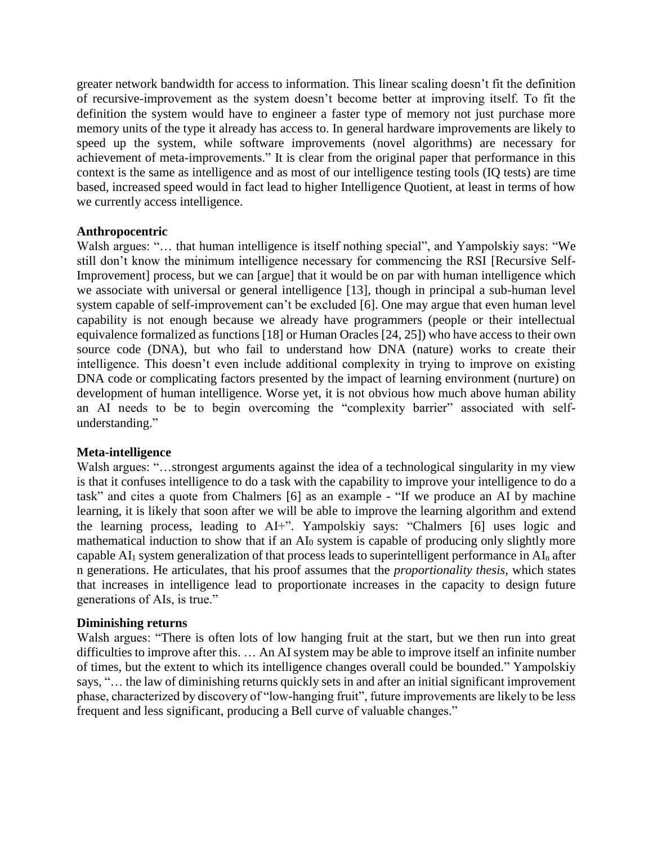greater network bandwidth for access to information. This linear scaling doesn't fit the definition of recursive-improvement as the system doesn't become better at improving itself. To fit the definition the system would have to engineer a faster type of memory not just purchase more memory units of the type it already has access to. In general hardware improvements are likely to speed up the system, while software improvements (novel algorithms) are necessary for achievement of meta-improvements." It is clear from the original paper that performance in this context is the same as intelligence and as most of our intelligence testing tools (IQ tests) are time based, increased speed would in fact lead to higher Intelligence Quotient, at least in terms of how we currently access intelligence.

## **Anthropocentric**

Walsh argues: "... that human intelligence is itself nothing special", and Yampolskiy says: "We still don't know the minimum intelligence necessary for commencing the RSI [Recursive Self-Improvement] process, but we can [argue] that it would be on par with human intelligence which we associate with universal or general intelligence [13], though in principal a sub-human level system capable of self-improvement can't be excluded [6]. One may argue that even human level capability is not enough because we already have programmers (people or their intellectual equivalence formalized as functions [18] or Human Oracles [24, 25]) who have access to their own source code (DNA), but who fail to understand how DNA (nature) works to create their intelligence. This doesn't even include additional complexity in trying to improve on existing DNA code or complicating factors presented by the impact of learning environment (nurture) on development of human intelligence. Worse yet, it is not obvious how much above human ability an AI needs to be to begin overcoming the "complexity barrier" associated with selfunderstanding."

## **Meta-intelligence**

Walsh argues: "...strongest arguments against the idea of a technological singularity in my view is that it confuses intelligence to do a task with the capability to improve your intelligence to do a task" and cites a quote from Chalmers [6] as an example - "If we produce an AI by machine learning, it is likely that soon after we will be able to improve the learning algorithm and extend the learning process, leading to AI+". Yampolskiy says: "Chalmers [6] uses logic and mathematical induction to show that if an AI<sub>0</sub> system is capable of producing only slightly more capable AI<sup>1</sup> system generalization of that process leads to superintelligent performance in AI<sup>n</sup> after n generations. He articulates, that his proof assumes that the *proportionality thesis,* which states that increases in intelligence lead to proportionate increases in the capacity to design future generations of AIs, is true."

## **Diminishing returns**

Walsh argues: "There is often lots of low hanging fruit at the start, but we then run into great difficulties to improve after this. … An AI system may be able to improve itself an infinite number of times, but the extent to which its intelligence changes overall could be bounded." Yampolskiy says, "… the law of diminishing returns quickly sets in and after an initial significant improvement phase, characterized by discovery of "low-hanging fruit", future improvements are likely to be less frequent and less significant, producing a Bell curve of valuable changes."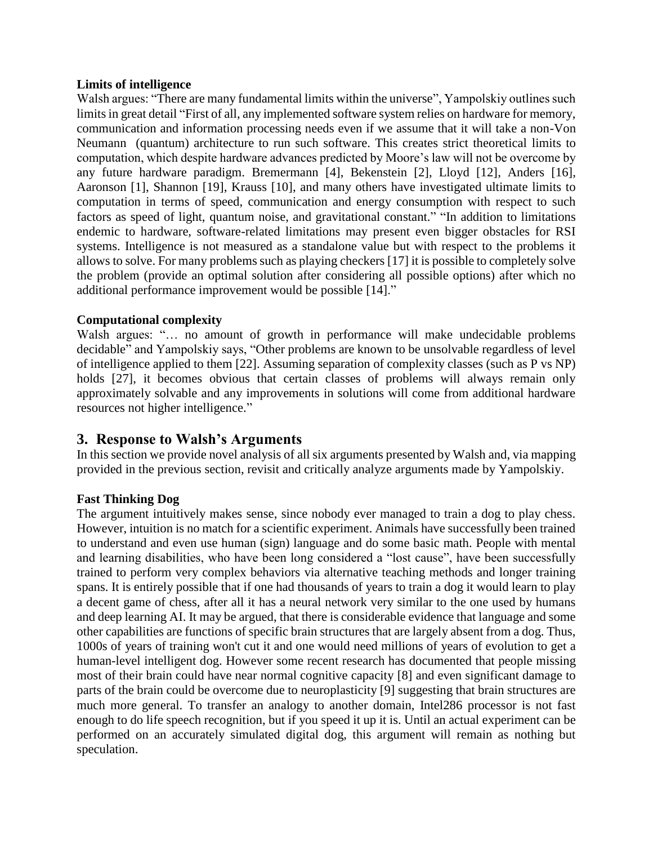## **Limits of intelligence**

Walsh argues: "There are many fundamental limits within the universe", Yampolskiy outlines such limits in great detail "First of all, any implemented software system relies on hardware for memory, communication and information processing needs even if we assume that it will take a non-Von Neumann (quantum) architecture to run such software. This creates strict theoretical limits to computation, which despite hardware advances predicted by Moore's law will not be overcome by any future hardware paradigm. Bremermann [4], Bekenstein [2], Lloyd [12], Anders [16], Aaronson [1], Shannon [19], Krauss [10], and many others have investigated ultimate limits to computation in terms of speed, communication and energy consumption with respect to such factors as speed of light, quantum noise, and gravitational constant." "In addition to limitations endemic to hardware, software-related limitations may present even bigger obstacles for RSI systems. Intelligence is not measured as a standalone value but with respect to the problems it allows to solve. For many problems such as playing checkers [17] it is possible to completely solve the problem (provide an optimal solution after considering all possible options) after which no additional performance improvement would be possible [14]."

## **Computational complexity**

Walsh argues: "… no amount of growth in performance will make undecidable problems decidable" and Yampolskiy says, "Other problems are known to be unsolvable regardless of level of intelligence applied to them [22]. Assuming separation of complexity classes (such as P vs NP) holds [27], it becomes obvious that certain classes of problems will always remain only approximately solvable and any improvements in solutions will come from additional hardware resources not higher intelligence."

## **3. Response to Walsh's Arguments**

In this section we provide novel analysis of all six arguments presented by Walsh and, via mapping provided in the previous section, revisit and critically analyze arguments made by Yampolskiy.

## **Fast Thinking Dog**

The argument intuitively makes sense, since nobody ever managed to train a dog to play chess. However, intuition is no match for a scientific experiment. Animals have successfully been trained to understand and even use human (sign) language and do some basic math. People with mental and learning disabilities, who have been long considered a "lost cause", have been successfully trained to perform very complex behaviors via alternative teaching methods and longer training spans. It is entirely possible that if one had thousands of years to train a dog it would learn to play a decent game of chess, after all it has a neural network very similar to the one used by humans and deep learning AI. It may be argued, that there is considerable evidence that language and some other capabilities are functions of specific brain structures that are largely absent from a dog. Thus, 1000s of years of training won't cut it and one would need millions of years of evolution to get a human-level intelligent dog. However some recent research has documented that people missing most of their brain could have near normal cognitive capacity [8] and even significant damage to parts of the brain could be overcome due to neuroplasticity [9] suggesting that brain structures are much more general. To transfer an analogy to another domain, Intel286 processor is not fast enough to do life speech recognition, but if you speed it up it is. Until an actual experiment can be performed on an accurately simulated digital dog, this argument will remain as nothing but speculation.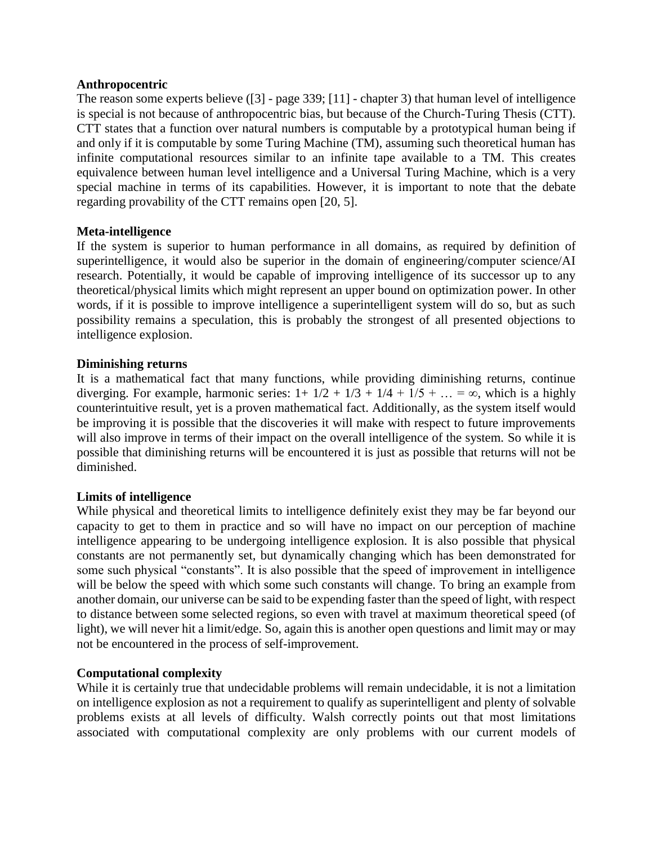#### **Anthropocentric**

The reason some experts believe ([3] - page 339; [11] - chapter 3) that human level of intelligence is special is not because of anthropocentric bias, but because of the Church-Turing Thesis (CTT). CTT states that a function over natural numbers is computable by a prototypical human being if and only if it is computable by some Turing Machine (TM), assuming such theoretical human has infinite computational resources similar to an infinite tape available to a TM. This creates equivalence between human level intelligence and a Universal Turing Machine, which is a very special machine in terms of its capabilities. However, it is important to note that the debate regarding provability of the CTT remains open [20, 5].

## **Meta-intelligence**

If the system is superior to human performance in all domains, as required by definition of superintelligence, it would also be superior in the domain of engineering/computer science/AI research. Potentially, it would be capable of improving intelligence of its successor up to any theoretical/physical limits which might represent an upper bound on optimization power. In other words, if it is possible to improve intelligence a superintelligent system will do so, but as such possibility remains a speculation, this is probably the strongest of all presented objections to intelligence explosion.

## **Diminishing returns**

It is a mathematical fact that many functions, while providing diminishing returns, continue diverging. For example, harmonic series:  $1+ 1/2 + 1/3 + 1/4 + 1/5 + ... = \infty$ , which is a highly counterintuitive result, yet is a proven mathematical fact. Additionally, as the system itself would be improving it is possible that the discoveries it will make with respect to future improvements will also improve in terms of their impact on the overall intelligence of the system. So while it is possible that diminishing returns will be encountered it is just as possible that returns will not be diminished.

## **Limits of intelligence**

While physical and theoretical limits to intelligence definitely exist they may be far beyond our capacity to get to them in practice and so will have no impact on our perception of machine intelligence appearing to be undergoing intelligence explosion. It is also possible that physical constants are not permanently set, but dynamically changing which has been demonstrated for some such physical "constants". It is also possible that the speed of improvement in intelligence will be below the speed with which some such constants will change. To bring an example from another domain, our universe can be said to be expending faster than the speed of light, with respect to distance between some selected regions, so even with travel at maximum theoretical speed (of light), we will never hit a limit/edge. So, again this is another open questions and limit may or may not be encountered in the process of self-improvement.

## **Computational complexity**

While it is certainly true that undecidable problems will remain undecidable, it is not a limitation on intelligence explosion as not a requirement to qualify as superintelligent and plenty of solvable problems exists at all levels of difficulty. Walsh correctly points out that most limitations associated with computational complexity are only problems with our current models of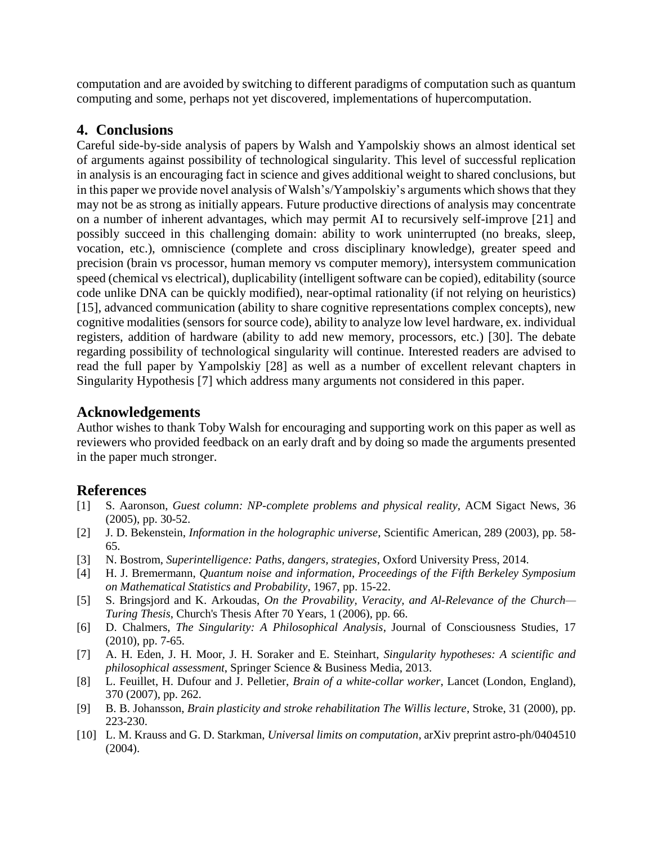computation and are avoided by switching to different paradigms of computation such as quantum computing and some, perhaps not yet discovered, implementations of hupercomputation.

## **4. Conclusions**

Careful side-by-side analysis of papers by Walsh and Yampolskiy shows an almost identical set of arguments against possibility of technological singularity. This level of successful replication in analysis is an encouraging fact in science and gives additional weight to shared conclusions, but in this paper we provide novel analysis of Walsh's/Yampolskiy's arguments which shows that they may not be as strong as initially appears. Future productive directions of analysis may concentrate on a number of inherent advantages, which may permit AI to recursively self-improve [21] and possibly succeed in this challenging domain: ability to work uninterrupted (no breaks, sleep, vocation, etc.), omniscience (complete and cross disciplinary knowledge), greater speed and precision (brain vs processor, human memory vs computer memory), intersystem communication speed (chemical vs electrical), duplicability (intelligent software can be copied), editability (source code unlike DNA can be quickly modified), near-optimal rationality (if not relying on heuristics) [15], advanced communication (ability to share cognitive representations complex concepts), new cognitive modalities (sensors for source code), ability to analyze low level hardware, ex. individual registers, addition of hardware (ability to add new memory, processors, etc.) [30]. The debate regarding possibility of technological singularity will continue. Interested readers are advised to read the full paper by Yampolskiy [28] as well as a number of excellent relevant chapters in Singularity Hypothesis [7] which address many arguments not considered in this paper.

## **Acknowledgements**

Author wishes to thank Toby Walsh for encouraging and supporting work on this paper as well as reviewers who provided feedback on an early draft and by doing so made the arguments presented in the paper much stronger.

## **References**

- [1] S. Aaronson, *Guest column: NP-complete problems and physical reality*, ACM Sigact News, 36 (2005), pp. 30-52.
- [2] J. D. Bekenstein, *Information in the holographic universe*, Scientific American, 289 (2003), pp. 58- 65.
- [3] N. Bostrom, *Superintelligence: Paths, dangers, strategies*, Oxford University Press, 2014.
- [4] H. J. Bremermann, *Quantum noise and information*, *Proceedings of the Fifth Berkeley Symposium on Mathematical Statistics and Probability*, 1967, pp. 15-22.
- [5] S. Bringsjord and K. Arkoudas, *On the Provability, Veracity, and Al-Relevance of the Church— Turing Thesis*, Church's Thesis After 70 Years, 1 (2006), pp. 66.
- [6] D. Chalmers, *The Singularity: A Philosophical Analysis*, Journal of Consciousness Studies, 17 (2010), pp. 7-65.
- [7] A. H. Eden, J. H. Moor, J. H. Soraker and E. Steinhart, *Singularity hypotheses: A scientific and philosophical assessment*, Springer Science & Business Media, 2013.
- [8] L. Feuillet, H. Dufour and J. Pelletier, *Brain of a white-collar worker*, Lancet (London, England), 370 (2007), pp. 262.
- [9] B. B. Johansson, *Brain plasticity and stroke rehabilitation The Willis lecture*, Stroke, 31 (2000), pp. 223-230.
- [10] L. M. Krauss and G. D. Starkman, *Universal limits on computation*, arXiv preprint astro-ph/0404510 (2004).